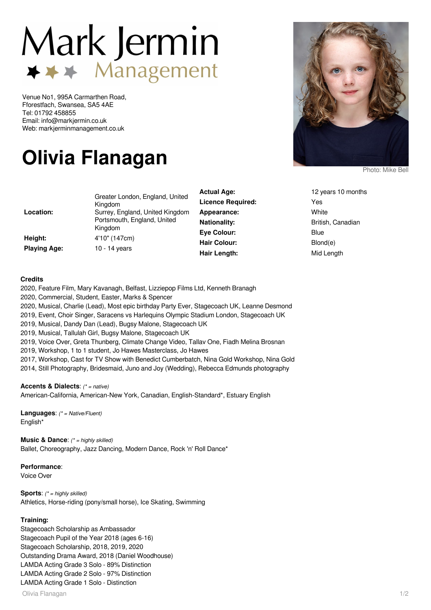## Mark Jermin  $\rightarrow \rightarrow \rightarrow$  Management

Venue No1, 995A Carmarthen Road, Fforestfach, Swansea, SA5 4AE Tel: 01792 458855 Email: info@markjermin.co.uk Web: markjerminmanagement.co.uk

## **Olivia Flanagan**

| Location:<br>Height:<br><b>Playing Age:</b> | Greater London, England, United<br>Kingdom<br>Surrey, England, United Kingdom<br>Portsmouth, England, United<br>Kingdom<br>4'10" (147cm)<br>10 - 14 years | Actual Age.              | IZ VEDIS IL  |
|---------------------------------------------|-----------------------------------------------------------------------------------------------------------------------------------------------------------|--------------------------|--------------|
|                                             |                                                                                                                                                           | <b>Licence Required:</b> | Yes          |
|                                             |                                                                                                                                                           | Appearance:              | White        |
|                                             |                                                                                                                                                           | <b>Nationality:</b>      | British, Car |
|                                             |                                                                                                                                                           | Eve Colour:              | Blue         |
|                                             |                                                                                                                                                           | <b>Hair Colour:</b>      | Blond(e)     |
|                                             |                                                                                                                                                           | Hair Length:             | Mid Length   |

Photo: Mike Bell

**Actual Age:** 12 years 10 months **Licence Required:** Yes **Nationality:** British, Canadian Blond(e)

## **Credits**

2020, Feature Film, Mary Kavanagh, Belfast, Lizziepop Films Ltd, Kenneth Branagh

2020, Commercial, Student, Easter, Marks & Spencer

2020, Musical, Charlie (Lead), Most epic birthday Party Ever, Stagecoach UK, Leanne Desmond

- 2019, Event, Choir Singer, Saracens vs Harlequins Olympic Stadium London, Stagecoach UK
- 2019, Musical, Dandy Dan (Lead), Bugsy Malone, Stagecoach UK

2019, Musical, Tallulah Girl, Bugsy Malone, Stagecoach UK

2019, Voice Over, Greta Thunberg, Climate Change Video, Tallav One, Fiadh Melina Brosnan

2019, Workshop, 1 to 1 student, Jo Hawes Masterclass, Jo Hawes

2017, Workshop, Cast for TV Show with Benedict Cumberbatch, Nina Gold Workshop, Nina Gold 2014, Still Photography, Bridesmaid, Juno and Joy (Wedding), Rebecca Edmunds photography

**Accents & Dialects**: (\* = native)

American-California, American-New York, Canadian, English-Standard\*, Estuary English

**Languages**: (\* = Native/Fluent) English\*

**Music & Dance:** (\* = highly skilled) Ballet, Choreography, Jazz Dancing, Modern Dance, Rock 'n' Roll Dance\*

**Performance**:

Voice Over

**Sports:** (\* = highly skilled) Athletics, Horse-riding (pony/small horse), Ice Skating, Swimming

## **Training:**

Stagecoach Scholarship as Ambassador Stagecoach Pupil of the Year 2018 (ages 6-16) Stagecoach Scholarship, 2018, 2019, 2020 Outstanding Drama Award, 2018 (Daniel Woodhouse) LAMDA Acting Grade 3 Solo - 89% Distinction LAMDA Acting Grade 2 Solo - 97% Distinction LAMDA Acting Grade 1 Solo - Distinction